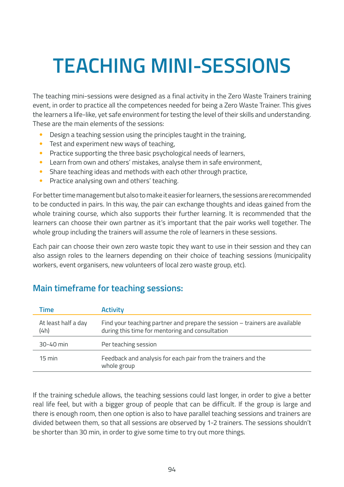## **TEACHING MINI-SESSIONS**

The teaching mini-sessions were designed as a final activity in the Zero Waste Trainers training event, in order to practice all the competences needed for being a Zero Waste Trainer. This gives the learners a life-like, yet safe environment for testing the level of their skills and understanding. These are the main elements of the sessions:

- Design a teaching session using the principles taught in the training,
- Test and experiment new ways of teaching,
- Practice supporting the three basic psychological needs of learners,
- Learn from own and others' mistakes, analyse them in safe environment,
- Share teaching ideas and methods with each other through practice,
- Practice analysing own and others' teaching.

For better time management but also to make it easier for learners, the sessions are recommended to be conducted in pairs. In this way, the pair can exchange thoughts and ideas gained from the whole training course, which also supports their further learning. It is recommended that the learners can choose their own partner as it's important that the pair works well together. The whole group including the trainers will assume the role of learners in these sessions.

Each pair can choose their own zero waste topic they want to use in their session and they can also assign roles to the learners depending on their choice of teaching sessions (municipality workers, event organisers, new volunteers of local zero waste group, etc).

| Time                        | <b>Activity</b>                                                                                                                |
|-----------------------------|--------------------------------------------------------------------------------------------------------------------------------|
| At least half a day<br>(4h) | Find your teaching partner and prepare the session – trainers are available<br>during this time for mentoring and consultation |
| $30 - 40$ min               | Per teaching session                                                                                                           |
| $15 \text{ min}$            | Feedback and analysis for each pair from the trainers and the<br>whole group                                                   |

## **Main timeframe for teaching sessions:**

If the training schedule allows, the teaching sessions could last longer, in order to give a better real life feel, but with a bigger group of people that can be difficult. If the group is large and there is enough room, then one option is also to have parallel teaching sessions and trainers are divided between them, so that all sessions are observed by 1-2 trainers. The sessions shouldn't be shorter than 30 min, in order to give some time to try out more things.